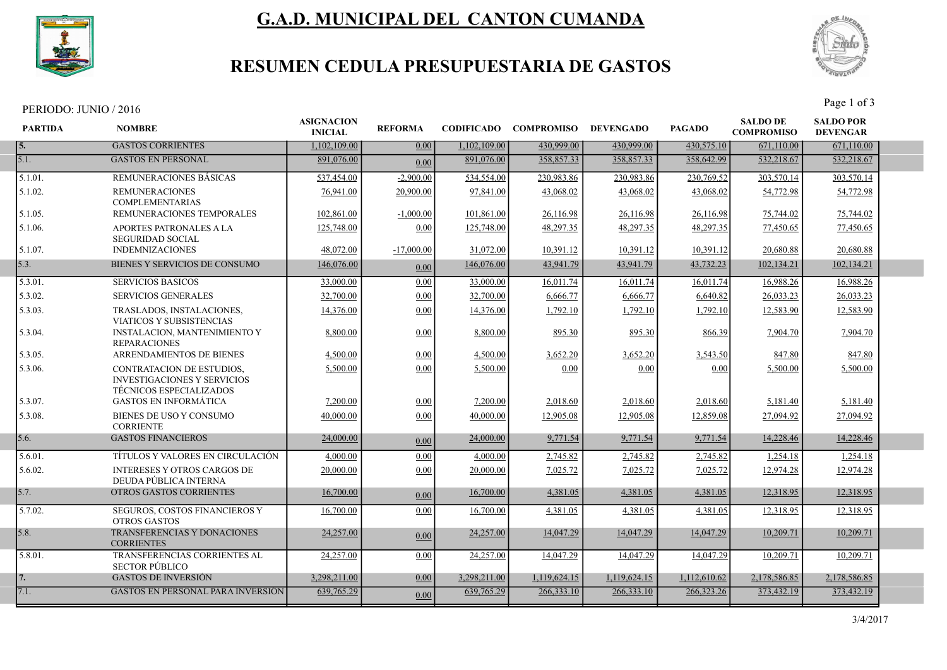

# G.A.D. MUNICIPAL DEL CANTON CUMANDA



## RESUMEN CEDULA PRESUPUESTARIA DE GASTOS

PERIODO: JUNIO / 2016 Page 1 of 3

| <b>PARTIDA</b> | <b>NOMBRE</b>                                                                                     | <b>ASIGNACION</b><br><b>INICIAL</b> | <b>REFORMA</b> |              | <b>CODIFICADO COMPROMISO</b> | <b>DEVENGADO</b> | <b>PAGADO</b> | <b>SALDO DE</b><br><b>COMPROMISO</b> | <b>SALDO POR</b><br><b>DEVENGAR</b> |  |
|----------------|---------------------------------------------------------------------------------------------------|-------------------------------------|----------------|--------------|------------------------------|------------------|---------------|--------------------------------------|-------------------------------------|--|
| 15.            | <b>GASTOS CORRIENTES</b>                                                                          | 1.102.109.00                        | 0.00           | 1,102,109.00 | 430,999.00                   | 430,999.00       | 430,575.10    | 671,110.00                           | 671,110.00                          |  |
| 5.1.           | <b>GASTOS EN PERSONAL</b>                                                                         | 891,076.00                          | 0.00           | 891,076.00   | 358,857.33                   | 358,857.33       | 358,642.99    | 532,218.67                           | 532,218.67                          |  |
| 5.1.01.        | <b>REMUNERACIONES BASICAS</b>                                                                     | 537,454.00                          | $-2,900.00$    | 534,554.00   | 230.983.86                   | 230,983.86       | 230,769.52    | 303,570.14                           | 303,570.14                          |  |
| 5.1.02.        | <b>REMUNERACIONES</b><br><b>COMPLEMENTARIAS</b>                                                   | 76,941.00                           | 20,900.00      | 97,841.00    | 43,068.02                    | 43,068.02        | 43,068.02     | 54,772.98                            | 54,772.98                           |  |
| 5.1.05.        | REMUNERACIONES TEMPORALES                                                                         | 102,861.00                          | $-1,000.00$    | 101,861.00   | 26,116.98                    | 26,116.98        | 26,116.98     | 75,744.02                            | 75,744.02                           |  |
| 5.1.06.        | APORTES PATRONALES A LA<br><b>SEGURIDAD SOCIAL</b>                                                | 125,748.00                          | 0.00           | 125,748.00   | 48,297.35                    | 48,297.35        | 48,297.35     | 77,450.65                            | 77,450.65                           |  |
| 5.1.07.        | <b>INDEMNIZACIONES</b>                                                                            | 48,072.00                           | $-17,000.00$   | 31,072.00    | 10,391.12                    | 10,391.12        | 10,391.12     | 20,680.88                            | 20,680.88                           |  |
| 5.3.           | <b>BIENES Y SERVICIOS DE CONSUMO</b>                                                              | 146,076.00                          | 0.00           | 146,076.00   | 43,941.79                    | 43,941.79        | 43,732.23     | 102,134.21                           | 102,134.21                          |  |
| 5.3.01.        | <b>SERVICIOS BASICOS</b>                                                                          | 33,000.00                           | 0.00           | 33,000.00    | 16,011.74                    | 16,011.74        | 16,011.74     | 16,988.26                            | 16,988.26                           |  |
| 5.3.02.        | <b>SERVICIOS GENERALES</b>                                                                        | 32,700.00                           | 0.00           | 32,700.00    | 6,666.77                     | 6,666.77         | 6,640.82      | 26,033.23                            | 26,033.23                           |  |
| 5.3.03.        | TRASLADOS, INSTALACIONES,<br><b>VIATICOS Y SUBSISTENCIAS</b>                                      | 14,376.00                           | 0.00           | 14,376.00    | 1,792.10                     | 1,792.10         | 1,792.10      | 12,583.90                            | 12,583.90                           |  |
| 5.3.04.        | <b>INSTALACION, MANTENIMIENTO Y</b><br><b>REPARACIONES</b>                                        | 8,800.00                            | 0.00           | 8,800.00     | 895.30                       | 895.30           | 866.39        | 7,904.70                             | 7,904.70                            |  |
| 5.3.05.        | ARRENDAMIENTOS DE BIENES                                                                          | 4,500.00                            | 0.00           | 4,500.00     | 3,652.20                     | 3,652.20         | 3,543.50      | 847.80                               | 847.80                              |  |
| 5.3.06.        | CONTRATACION DE ESTUDIOS,<br><b>INVESTIGACIONES Y SERVICIOS</b><br><b>TÉCNICOS ESPECIALIZADOS</b> | 5,500.00                            | 0.00           | 5,500.00     | 0.00                         | 0.00             | 0.00          | 5,500.00                             | 5,500.00                            |  |
| 5.3.07.        | <b>GASTOS EN INFORMÁTICA</b>                                                                      | 7,200.00                            | 0.00           | 7,200.00     | 2,018.60                     | 2,018.60         | 2,018.60      | 5,181.40                             | 5,181.40                            |  |
| 5.3.08.        | BIENES DE USO Y CONSUMO<br><b>CORRIENTE</b>                                                       | 40,000.00                           | 0.00           | 40,000.00    | 12,905.08                    | 12,905.08        | 12,859.08     | 27,094.92                            | 27,094.92                           |  |
| 5.6.           | <b>GASTOS FINANCIEROS</b>                                                                         | 24,000.00                           | 0.00           | 24,000.00    | 9,771.54                     | 9,771.54         | 9,771.54      | 14,228.46                            | 14,228.46                           |  |
| 5.6.01.        | TÍTULOS Y VALORES EN CIRCULACIÓN                                                                  | 4,000.00                            | 0.00           | 4,000.00     | 2,745.82                     | 2,745.82         | 2,745.82      | 1,254.18                             | 1,254.18                            |  |
| 5.6.02.        | <b>INTERESES Y OTROS CARGOS DE</b><br>DEUDA PÚBLICA INTERNA                                       | 20,000.00                           | 0.00           | 20,000.00    | 7,025.72                     | 7.025.72         | 7,025.72      | 12,974.28                            | 12,974.28                           |  |
| 5.7.           | OTROS GASTOS CORRIENTES                                                                           | 16,700.00                           | 0.00           | 16,700.00    | 4,381.05                     | 4,381.05         | 4,381.05      | 12,318.95                            | 12,318.95                           |  |
| 5.7.02.        | SEGUROS, COSTOS FINANCIEROS Y<br><b>OTROS GASTOS</b>                                              | 16,700.00                           | 0.00           | 16,700.00    | 4,381.05                     | 4,381.05         | 4,381.05      | 12,318.95                            | 12,318.95                           |  |
| 5.8.           | TRANSFERENCIAS Y DONACIONES<br><b>CORRIENTES</b>                                                  | 24,257.00                           | 0.00           | 24,257.00    | 14,047.29                    | 14,047.29        | 14,047.29     | 10.209.71                            | 10.209.71                           |  |
| 5.8.01.        | TRANSFERENCIAS CORRIENTES AL<br><b>SECTOR PÚBLICO</b>                                             | 24,257.00                           | 0.00           | 24,257.00    | 14,047.29                    | 14,047.29        | 14,047.29     | 10,209.71                            | 10,209.71                           |  |
| 7.             | <b>GASTOS DE INVERSIÓN</b>                                                                        | 3.298.211.00                        | 0.00           | 3.298.211.00 | 1,119,624.15                 | 1,119,624.15     | 1,112,610.62  | 2,178,586.85                         | 2,178,586.85                        |  |
| 7.1.           | <b>GASTOS EN PERSONAL PARA INVERSIÓN</b>                                                          | 639,765.29                          | 0.00           | 639,765.29   | 266,333.10                   | 266,333.10       | 266,323.26    | 373,432.19                           | 373,432.19                          |  |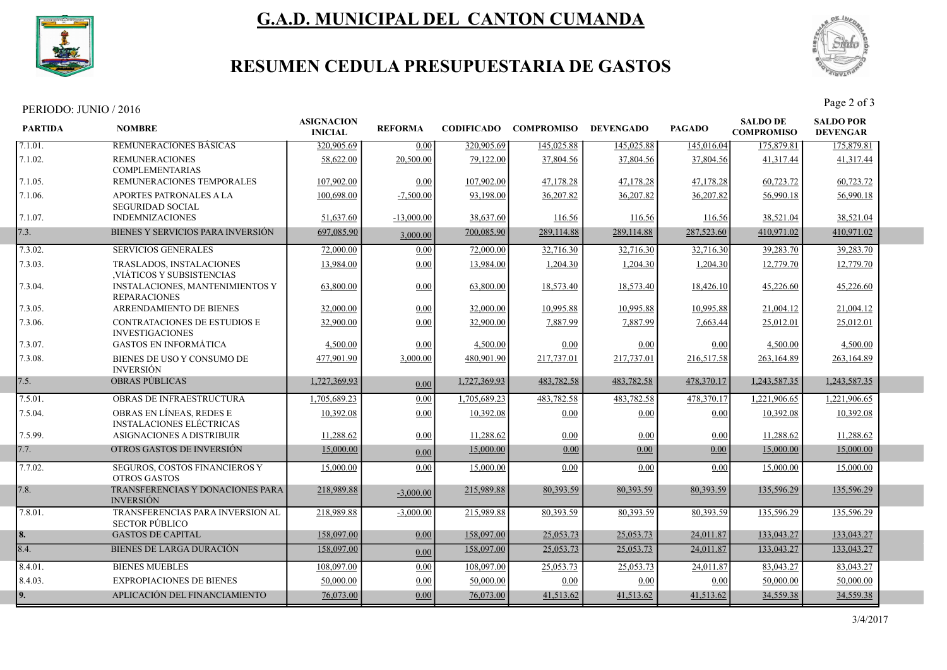

# G.A.D. MUNICIPAL DEL CANTON CUMANDA



## RESUMEN CEDULA PRESUPUESTARIA DE GASTOS

#### PERIODO: JUNIO / 2016

| <b>PARTIDA</b> | <b>NOMBRE</b>                                                 | <b>ASIGNACION</b><br><b>INICIAL</b> | <b>REFORMA</b> | <b>CODIFICADO</b> | <b>COMPROMISO</b> | <b>DEVENGADO</b> | <b>PAGADO</b> | <b>SALDO DE</b><br><b>COMPROMISO</b> | <b>SALDO POR</b><br><b>DEVENGAR</b> |  |
|----------------|---------------------------------------------------------------|-------------------------------------|----------------|-------------------|-------------------|------------------|---------------|--------------------------------------|-------------------------------------|--|
| 7.1.01.        | REMUNERACIONES BASICAS                                        | 320,905.69                          | 0.00           | 320,905.69        | 145,025.88        | 145,025.88       | 145,016.04    | 175,879.81                           | 175,879.81                          |  |
| 7.1.02.        | <b>REMUNERACIONES</b><br><b>COMPLEMENTARIAS</b>               | 58,622.00                           | 20,500.00      | 79,122.00         | 37,804.56         | 37,804.56        | 37,804.56     | 41,317.44                            | 41,317.44                           |  |
| 7.1.05.        | REMUNERACIONES TEMPORALES                                     | 107,902.00                          | 0.00           | 107,902.00        | 47,178.28         | 47,178.28        | 47,178.28     | 60,723.72                            | 60,723.72                           |  |
| 7.1.06.        | APORTES PATRONALES A LA<br><b>SEGURIDAD SOCIAL</b>            | 100,698.00                          | $-7,500.00$    | 93,198.00         | 36,207.82         | 36,207.82        | 36,207.82     | 56,990.18                            | 56,990.18                           |  |
| 7.1.07.        | <b>INDEMNIZACIONES</b>                                        | 51,637.60                           | $-13,000.00$   | 38,637.60         | 116.56            | 116.56           | 116.56        | 38,521.04                            | 38,521.04                           |  |
| 7.3.           | BIENES Y SERVICIOS PARA INVERSIÓN                             | 697,085.90                          | 3,000.00       | 700,085.90        | 289,114.88        | 289,114.88       | 287,523.60    | 410,971.02                           | 410,971.02                          |  |
| 7.3.02.        | <b>SERVICIOS GENERALES</b>                                    | 72,000.00                           | 0.00           | 72,000.00         | 32,716.30         | 32,716.30        | 32,716.30     | 39,283.70                            | 39,283.70                           |  |
| 7.3.03.        | TRASLADOS, INSTALACIONES<br>VIATICOS Y SUBSISTENCIAS          | 13,984.00                           | 0.00           | 13,984.00         | 1,204.30          | 1,204.30         | 1,204.30      | 12,779.70                            | 12,779.70                           |  |
| 7.3.04.        | <b>INSTALACIONES, MANTENIMIENTOS Y</b><br><b>REPARACIONES</b> | 63,800.00                           | 0.00           | 63,800.00         | 18,573.40         | 18,573.40        | 18,426.10     | 45,226.60                            | 45,226.60                           |  |
| 7.3.05.        | ARRENDAMIENTO DE BIENES                                       | 32,000.00                           | 0.00           | 32,000.00         | 10,995.88         | 10,995.88        | 10,995.88     | 21,004.12                            | 21,004.12                           |  |
| 7.3.06.        | <b>CONTRATACIONES DE ESTUDIOS E</b><br><b>INVESTIGACIONES</b> | 32,900.00                           | 0.00           | 32,900.00         | 7,887.99          | 7,887.99         | 7,663.44      | 25,012.01                            | 25,012.01                           |  |
| 7.3.07.        | <b>GASTOS EN INFORMÁTICA</b>                                  | 4,500.00                            | 0.00           | 4,500.00          | 0.00              | 0.00             | 0.00          | 4,500.00                             | 4,500.00                            |  |
| 7.3.08.        | BIENES DE USO Y CONSUMO DE<br><b>INVERSIÓN</b>                | 477,901.90                          | 3,000.00       | 480,901.90        | 217,737.01        | 217,737.01       | 216,517.58    | 263,164.89                           | 263,164.89                          |  |
| 7.5.           | <b>OBRAS PÚBLICAS</b>                                         | 1,727,369.93                        | 0.00           | 1,727,369.93      | 483,782.58        | 483,782.58       | 478,370.17    | 1,243,587.35                         | 1,243,587.35                        |  |
| 7.5.01.        | OBRAS DE INFRAESTRUCTURA                                      | 1,705,689.23                        | 0.00           | 1,705,689.23      | 483,782.58        | 483,782.58       | 478,370.17    | 1,221,906.65                         | 1,221,906.65                        |  |
| 7.5.04.        | OBRAS EN LÍNEAS, REDES E<br><b>INSTALACIONES ELÉCTRICAS</b>   | 10.392.08                           | 0.00           | 10,392.08         | 0.00              | 0.00             | 0.00          | 10.392.08                            | 10,392.08                           |  |
| 7.5.99.        | ASIGNACIONES A DISTRIBUIR                                     | 11,288.62                           | 0.00           | 11,288.62         | 0.00              | 0.00             | 0.00          | 11,288.62                            | 11,288.62                           |  |
| 7.7.           | OTROS GASTOS DE INVERSIÓN                                     | 15,000.00                           | 0.00           | 15,000.00         | 0.00              | 0.00             | 0.00          | 15,000.00                            | 15,000.00                           |  |
| 7.7.02.        | SEGUROS, COSTOS FINANCIEROS Y<br><b>OTROS GASTOS</b>          | 15,000.00                           | 0.00           | 15,000.00         | 0.00              | 0.00             | 0.00          | 15,000.00                            | 15,000.00                           |  |
| 7.8.           | TRANSFERENCIAS Y DONACIONES PARA<br><b>INVERSIÓN</b>          | 218,989.88                          | $-3,000.00$    | 215,989.88        | 80,393.59         | 80,393.59        | 80,393.59     | 135,596.29                           | 135,596.29                          |  |
| 7.8.01.        | TRANSFERENCIAS PARA INVERSION AL<br><b>SECTOR PÚBLICO</b>     | 218,989.88                          | $-3,000.00$    | 215,989.88        | 80,393.59         | 80,393.59        | 80.393.59     | 135,596.29                           | 135,596.29                          |  |
| 8.             | <b>GASTOS DE CAPITAL</b>                                      | 158,097.00                          | 0.00           | 158,097.00        | 25,053.73         | 25,053.73        | 24,011.87     | 133,043.27                           | 133,043.27                          |  |
| 8.4.           | BIENES DE LARGA DURACIÓN                                      | 158,097.00                          | 0.00           | 158,097.00        | 25,053.73         | 25,053.73        | 24,011.87     | 133,043.27                           | 133,043.27                          |  |
| 8.4.01.        | <b>BIENES MUEBLES</b>                                         | 108,097.00                          | 0.00           | 108,097.00        | 25,053.73         | 25,053.73        | 24,011.87     | 83,043.27                            | 83,043.27                           |  |
| 8.4.03.        | <b>EXPROPIACIONES DE BIENES</b>                               | 50,000.00                           | 0.00           | 50,000.00         | 0.00              | 0.00             | 0.00          | 50,000.00                            | 50,000.00                           |  |
| 9.             | APLICACIÓN DEL FINANCIAMIENTO                                 | 76,073.00                           | 0.00           | 76,073.00         | 41,513.62         | 41,513.62        | 41,513.62     | 34,559.38                            | 34,559.38                           |  |